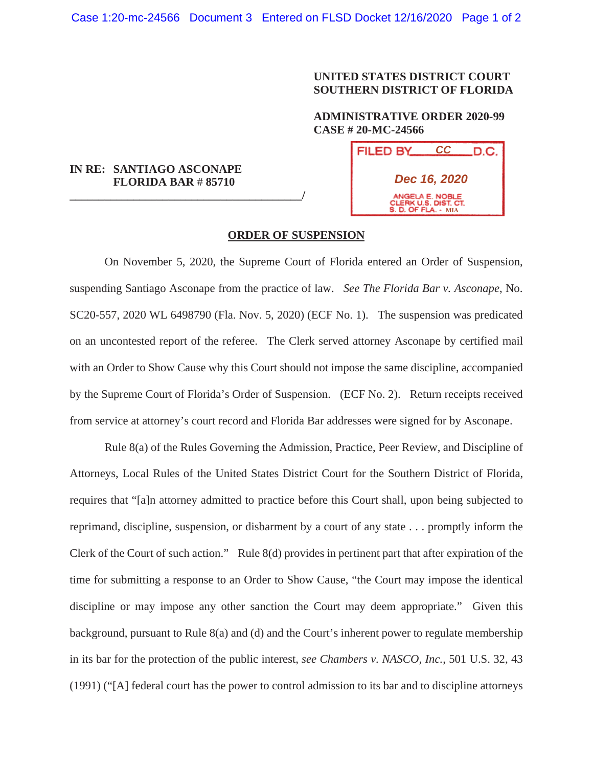## **UNITED STATES DISTRICT COURT SOUTHERN DISTRICT OF FLORIDA**

## **ADMINISTRATIVE ORDER 2020-99 CASE # 20-MC-24566**

## **IN RE: SANTIAGO ASCONAPE FLORIDA BAR** # **85710**

**\_\_\_\_\_\_\_\_\_\_\_\_\_\_\_\_\_\_\_\_\_\_\_\_\_\_\_\_\_\_\_\_\_\_\_\_\_\_\_\_/**

| <b>FILED BY</b>                                                       | CC | .D.C. |
|-----------------------------------------------------------------------|----|-------|
| Dec 16, 2020                                                          |    |       |
| ANGELA E. NOBLE<br>CLERK U.S. DIST. CT.<br><b>S. D. OF FLA. - MIA</b> |    |       |

## **ORDER OF SUSPENSION**

On November 5, 2020, the Supreme Court of Florida entered an Order of Suspension, suspending Santiago Asconape from the practice of law. *See The Florida Bar v. Asconape*, No. SC20-557, 2020 WL 6498790 (Fla. Nov. 5, 2020) (ECF No. 1). The suspension was predicated on an uncontested report of the referee. The Clerk served attorney Asconape by certified mail with an Order to Show Cause why this Court should not impose the same discipline, accompanied by the Supreme Court of Florida's Order of Suspension. (ECF No. 2). Return receipts received from service at attorney's court record and Florida Bar addresses were signed for by Asconape.

Rule 8(a) of the Rules Governing the Admission, Practice, Peer Review, and Discipline of Attorneys, Local Rules of the United States District Court for the Southern District of Florida, requires that "[a]n attorney admitted to practice before this Court shall, upon being subjected to reprimand, discipline, suspension, or disbarment by a court of any state . . . promptly inform the Clerk of the Court of such action." Rule 8(d) provides in pertinent part that after expiration of the time for submitting a response to an Order to Show Cause, "the Court may impose the identical discipline or may impose any other sanction the Court may deem appropriate." Given this background, pursuant to Rule 8(a) and (d) and the Court's inherent power to regulate membership in its bar for the protection of the public interest, *see Chambers v. NASCO, Inc.*, 501 U.S. 32, 43 (1991) ("[A] federal court has the power to control admission to its bar and to discipline attorneys